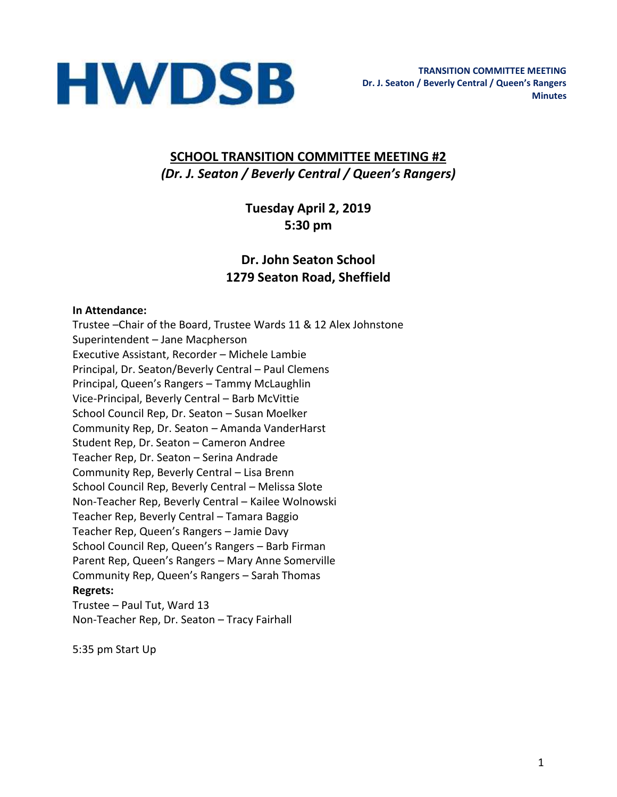

### **SCHOOL TRANSITION COMMITTEE MEETING #2** *(Dr. J. Seaton / Beverly Central / Queen's Rangers)*

**Tuesday April 2, 2019 5:30 pm** 

## **Dr. John Seaton School 1279 Seaton Road, Sheffield**

#### **In Attendance:**

Trustee –Chair of the Board, Trustee Wards 11 & 12 Alex Johnstone Superintendent – Jane Macpherson Executive Assistant, Recorder – Michele Lambie Principal, Dr. Seaton/Beverly Central – Paul Clemens Principal, Queen's Rangers – Tammy McLaughlin Vice-Principal, Beverly Central – Barb McVittie School Council Rep, Dr. Seaton – Susan Moelker Community Rep, Dr. Seaton – Amanda VanderHarst Student Rep, Dr. Seaton – Cameron Andree Teacher Rep, Dr. Seaton – Serina Andrade Community Rep, Beverly Central – Lisa Brenn School Council Rep, Beverly Central – Melissa Slote Non-Teacher Rep, Beverly Central – Kailee Wolnowski Teacher Rep, Beverly Central – Tamara Baggio Teacher Rep, Queen's Rangers – Jamie Davy School Council Rep, Queen's Rangers – Barb Firman Parent Rep, Queen's Rangers – Mary Anne Somerville Community Rep, Queen's Rangers – Sarah Thomas **Regrets:**  Trustee – Paul Tut, Ward 13

Non-Teacher Rep, Dr. Seaton – Tracy Fairhall

5:35 pm Start Up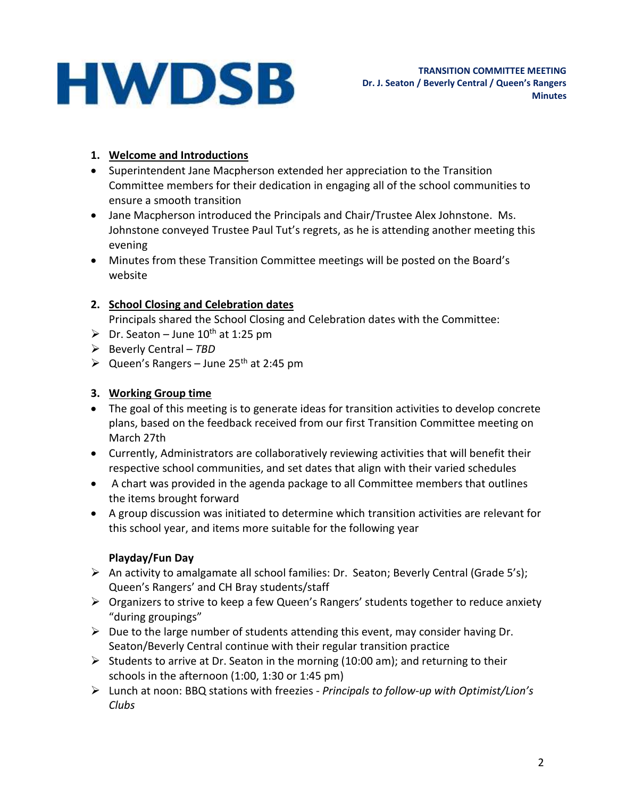## **HWDSB**

#### **1. Welcome and Introductions**

- Superintendent Jane Macpherson extended her appreciation to the Transition Committee members for their dedication in engaging all of the school communities to ensure a smooth transition
- Jane Macpherson introduced the Principals and Chair/Trustee Alex Johnstone. Ms. Johnstone conveyed Trustee Paul Tut's regrets, as he is attending another meeting this evening
- Minutes from these Transition Committee meetings will be posted on the Board's website

#### **2. School Closing and Celebration dates**

Principals shared the School Closing and Celebration dates with the Committee:

- $\triangleright$  Dr. Seaton June 10<sup>th</sup> at 1:25 pm
- ➢ Beverly Central *TBD*
- $\triangleright$  Queen's Rangers June 25<sup>th</sup> at 2:45 pm

#### **3. Working Group time**

- The goal of this meeting is to generate ideas for transition activities to develop concrete plans, based on the feedback received from our first Transition Committee meeting on March 27th
- Currently, Administrators are collaboratively reviewing activities that will benefit their respective school communities, and set dates that align with their varied schedules
- A chart was provided in the agenda package to all Committee members that outlines the items brought forward
- A group discussion was initiated to determine which transition activities are relevant for this school year, and items more suitable for the following year

#### **Playday/Fun Day**

- ➢ An activity to amalgamate all school families: Dr. Seaton; Beverly Central (Grade 5's); Queen's Rangers' and CH Bray students/staff
- ➢ Organizers to strive to keep a few Queen's Rangers' students together to reduce anxiety "during groupings"
- $\triangleright$  Due to the large number of students attending this event, may consider having Dr. Seaton/Beverly Central continue with their regular transition practice
- $\triangleright$  Students to arrive at Dr. Seaton in the morning (10:00 am); and returning to their schools in the afternoon (1:00, 1:30 or 1:45 pm)
- ➢ Lunch at noon: BBQ stations with freezies *Principals to follow-up with Optimist/Lion's Clubs*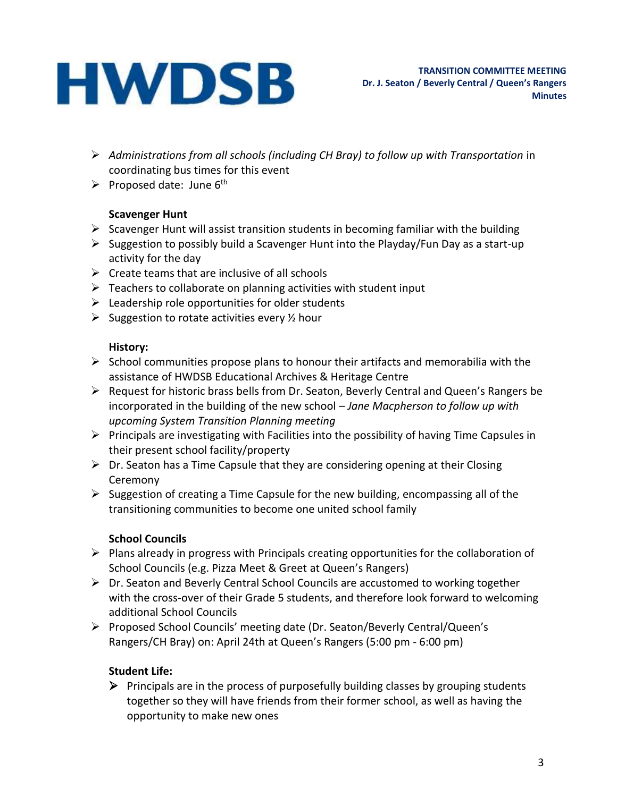# **HWDSB**

- ➢ *Administrations from all schools (including CH Bray) to follow up with Transportation* in coordinating bus times for this event
- $\triangleright$  Proposed date: June 6<sup>th</sup>

#### **Scavenger Hunt**

- $\triangleright$  Scavenger Hunt will assist transition students in becoming familiar with the building
- ➢ Suggestion to possibly build a Scavenger Hunt into the Playday/Fun Day as a start-up activity for the day
- $\triangleright$  Create teams that are inclusive of all schools
- $\triangleright$  Teachers to collaborate on planning activities with student input
- $\triangleright$  Leadership role opportunities for older students
- $\triangleright$  Suggestion to rotate activities every  $\frac{1}{2}$  hour

#### **History:**

- $\triangleright$  School communities propose plans to honour their artifacts and memorabilia with the assistance of HWDSB Educational Archives & Heritage Centre
- ➢ Request for historic brass bells from Dr. Seaton, Beverly Central and Queen's Rangers be incorporated in the building of the new school *– Jane Macpherson to follow up with upcoming System Transition Planning meeting*
- ➢ Principals are investigating with Facilities into the possibility of having Time Capsules in their present school facility/property
- $\triangleright$  Dr. Seaton has a Time Capsule that they are considering opening at their Closing Ceremony
- ➢ Suggestion of creating a Time Capsule for the new building, encompassing all of the transitioning communities to become one united school family

### **School Councils**

- ➢ Plans already in progress with Principals creating opportunities for the collaboration of School Councils (e.g. Pizza Meet & Greet at Queen's Rangers)
- ➢ Dr. Seaton and Beverly Central School Councils are accustomed to working together with the cross-over of their Grade 5 students, and therefore look forward to welcoming additional School Councils
- ➢ Proposed School Councils' meeting date (Dr. Seaton/Beverly Central/Queen's Rangers/CH Bray) on: April 24th at Queen's Rangers (5:00 pm - 6:00 pm)

### **Student Life:**

➢ Principals are in the process of purposefully building classes by grouping students together so they will have friends from their former school, as well as having the opportunity to make new ones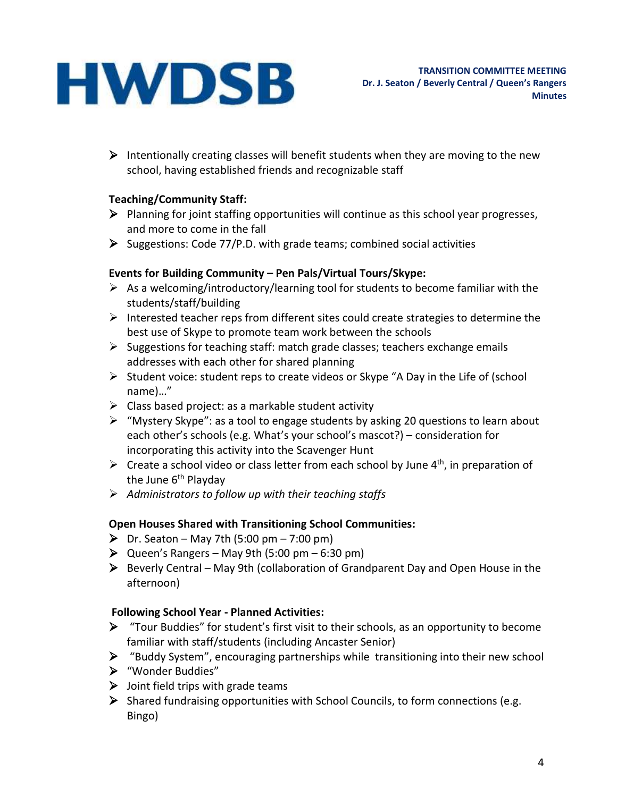# **HWDSB**

 $\triangleright$  Intentionally creating classes will benefit students when they are moving to the new school, having established friends and recognizable staff

#### **Teaching/Community Staff:**

- ➢ Planning for joint staffing opportunities will continue as this school year progresses, and more to come in the fall
- ➢ Suggestions: Code 77/P.D. with grade teams; combined social activities

#### **Events for Building Community – Pen Pals/Virtual Tours/Skype:**

- $\triangleright$  As a welcoming/introductory/learning tool for students to become familiar with the students/staff/building
- $\triangleright$  Interested teacher reps from different sites could create strategies to determine the best use of Skype to promote team work between the schools
- ➢ Suggestions for teaching staff: match grade classes; teachers exchange emails addresses with each other for shared planning
- ➢ Student voice: student reps to create videos or Skype "A Day in the Life of (school name)…"
- $\triangleright$  Class based project: as a markable student activity
- ➢ "Mystery Skype": as a tool to engage students by asking 20 questions to learn about each other's schools (e.g. What's your school's mascot?) – consideration for incorporating this activity into the Scavenger Hunt
- $\triangleright$  Create a school video or class letter from each school by June 4<sup>th</sup>, in preparation of the June  $6<sup>th</sup>$  Playday
- ➢ *Administrators to follow up with their teaching staffs*

#### **Open Houses Shared with Transitioning School Communities:**

- $\triangleright$  Dr. Seaton May 7th (5:00 pm 7:00 pm)
- $\triangleright$  Queen's Rangers May 9th (5:00 pm 6:30 pm)
- ➢ Beverly Central May 9th (collaboration of Grandparent Day and Open House in the afternoon)

#### **Following School Year - Planned Activities:**

- $\triangleright$  "Tour Buddies" for student's first visit to their schools, as an opportunity to become familiar with staff/students (including Ancaster Senior)
- ➢ "Buddy System", encouraging partnerships while transitioning into their new school
- ➢ "Wonder Buddies"
- $\triangleright$  Joint field trips with grade teams
- ➢ Shared fundraising opportunities with School Councils, to form connections (e.g. Bingo)